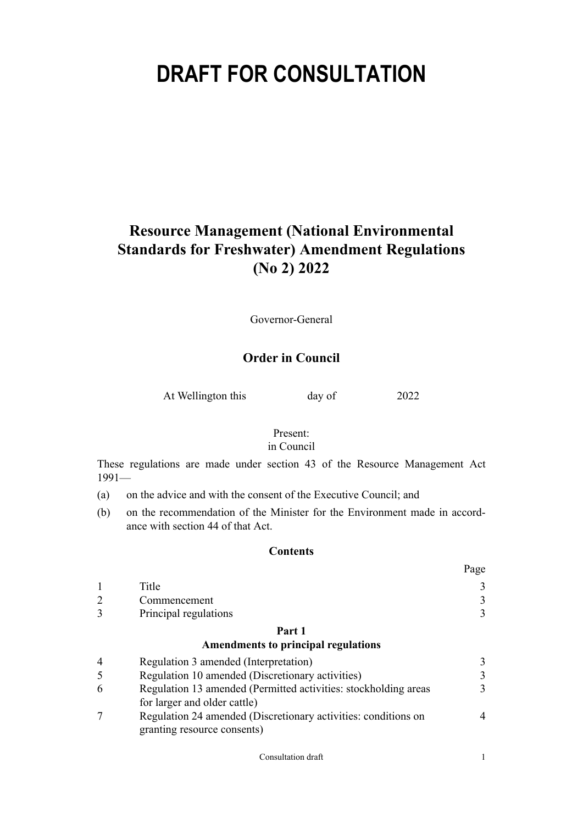# **DRAFT FOR CONSULTATION**

# **Resource Management (National Environmental Standards for Freshwater) Amendment Regulations (No 2) 2022**

Governor-General

# **Order in Council**

At Wellington this day of 2022

#### Present:

# in Council

These regulations are made under section 43 of the Resource Management Act 1991—

- (a) on the advice and with the consent of the Executive Council; and
- (b) on the recommendation of the Minister for the Environment made in accordance with section 44 of that Act.

## **Contents**

|                       | Page |
|-----------------------|------|
| Title                 |      |
| Commencement          |      |
| Principal regulations |      |

# **[Part 1](#page-2-0)**

#### **[Amendments to principal regulations](#page-2-0)**

| $\overline{4}$ | Regulation 3 amended (Interpretation)                           |               |  |
|----------------|-----------------------------------------------------------------|---------------|--|
| 5              | Regulation 10 amended (Discretionary activities)                | $\mathcal{F}$ |  |
| -6             | Regulation 13 amended (Permitted activities: stockholding areas | 3             |  |
|                | for larger and older cattle)                                    |               |  |
|                | Regulation 24 amended (Discretionary activities: conditions on  | Δ             |  |
|                | granting resource consents)                                     |               |  |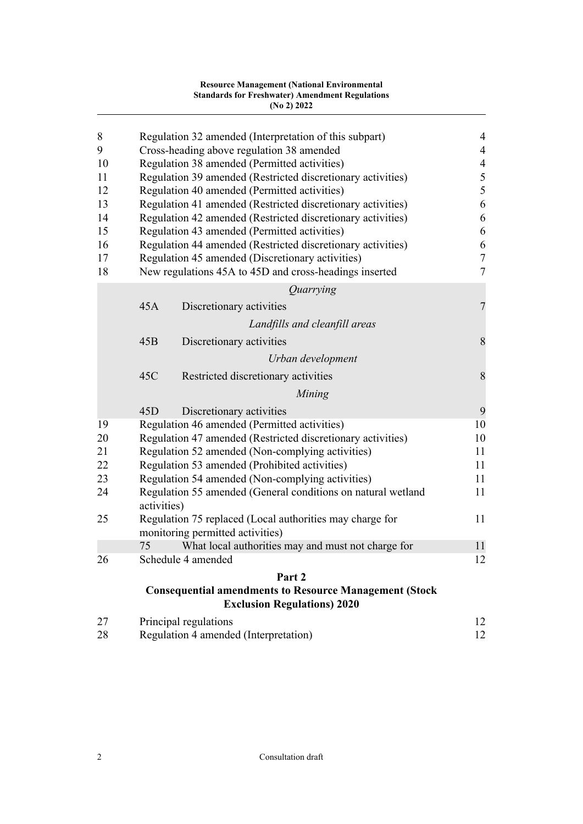|          |                                                                     | <b>Resource Management (National Environmental</b><br><b>Standards for Freshwater) Amendment Regulations</b><br>(No 2) 2022 |                       |  |  |
|----------|---------------------------------------------------------------------|-----------------------------------------------------------------------------------------------------------------------------|-----------------------|--|--|
| 8        |                                                                     | Regulation 32 amended (Interpretation of this subpart)                                                                      | $\overline{4}$        |  |  |
| 9        | Cross-heading above regulation 38 amended                           |                                                                                                                             | $\overline{4}$        |  |  |
| 10       |                                                                     | Regulation 38 amended (Permitted activities)                                                                                | $\overline{4}$        |  |  |
| 11       |                                                                     | Regulation 39 amended (Restricted discretionary activities)                                                                 | $\sqrt{5}$            |  |  |
| 12       | Regulation 40 amended (Permitted activities)                        |                                                                                                                             | 5                     |  |  |
| 13       | Regulation 41 amended (Restricted discretionary activities)         |                                                                                                                             | $\sqrt{6}$<br>6       |  |  |
| 14       | Regulation 42 amended (Restricted discretionary activities)         |                                                                                                                             |                       |  |  |
| 15       | Regulation 43 amended (Permitted activities)                        |                                                                                                                             |                       |  |  |
| 16       | Regulation 44 amended (Restricted discretionary activities)         |                                                                                                                             |                       |  |  |
| 17<br>18 |                                                                     | Regulation 45 amended (Discretionary activities)                                                                            | $\boldsymbol{7}$<br>7 |  |  |
|          | New regulations 45A to 45D and cross-headings inserted<br>Quarrying |                                                                                                                             |                       |  |  |
|          | 45A                                                                 | Discretionary activities                                                                                                    | 7                     |  |  |
|          |                                                                     |                                                                                                                             |                       |  |  |
|          |                                                                     | Landfills and cleanfill areas                                                                                               |                       |  |  |
|          | 45B                                                                 | Discretionary activities                                                                                                    | 8                     |  |  |
|          |                                                                     | Urban development                                                                                                           |                       |  |  |
|          | 45C                                                                 | Restricted discretionary activities                                                                                         | 8                     |  |  |
|          |                                                                     | Mining                                                                                                                      |                       |  |  |
|          | 45D                                                                 | Discretionary activities                                                                                                    | 9                     |  |  |
| 19       |                                                                     | Regulation 46 amended (Permitted activities)                                                                                | 10                    |  |  |
| 20       |                                                                     | Regulation 47 amended (Restricted discretionary activities)                                                                 | 10                    |  |  |
| 21       |                                                                     | Regulation 52 amended (Non-complying activities)                                                                            | 11                    |  |  |
| 22       |                                                                     | Regulation 53 amended (Prohibited activities)                                                                               | 11                    |  |  |
| 23       |                                                                     | Regulation 54 amended (Non-complying activities)                                                                            | 11                    |  |  |
| 24       | activities)                                                         | Regulation 55 amended (General conditions on natural wetland                                                                | 11                    |  |  |
| 25       | Regulation 75 replaced (Local authorities may charge for            |                                                                                                                             |                       |  |  |
|          |                                                                     | monitoring permitted activities)                                                                                            | 11                    |  |  |
|          | 75                                                                  | What local authorities may and must not charge for                                                                          | 11                    |  |  |
| 26       | Schedule 4 amended                                                  |                                                                                                                             | 12                    |  |  |
|          |                                                                     | Part 2                                                                                                                      |                       |  |  |
|          |                                                                     | <b>Consequential amendments to Resource Management (Stock</b><br><b>Exclusion Regulations) 2020</b>                         |                       |  |  |
| 27       | Principal regulations                                               |                                                                                                                             | 12                    |  |  |

| 2I | Principal regulations                 |  |
|----|---------------------------------------|--|
| 28 | Regulation 4 amended (Interpretation) |  |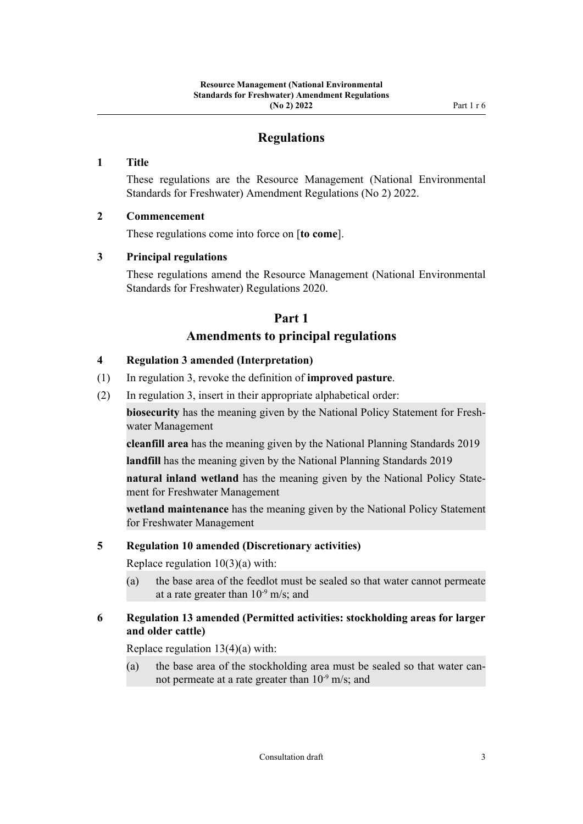# **Regulations**

## <span id="page-2-0"></span>**1 Title**

These regulations are the Resource Management (National Environmental Standards for Freshwater) Amendment Regulations (No 2) 2022.

## **2 Commencement**

These regulations come into force on [**to come**].

## **3 Principal regulations**

These regulations amend the Resource Management (National Environmental Standards for Freshwater) Regulations 2020.

# **Part 1 Amendments to principal regulations**

## **4 Regulation 3 amended (Interpretation)**

- (1) In regulation 3, revoke the definition of **improved pasture**.
- (2) In regulation 3, insert in their appropriate alphabetical order:

**biosecurity** has the meaning given by the National Policy Statement for Freshwater Management

**cleanfill area** has the meaning given by the National Planning Standards 2019

**landfill** has the meaning given by the National Planning Standards 2019

**natural inland wetland** has the meaning given by the National Policy Statement for Freshwater Management

**wetland maintenance** has the meaning given by the National Policy Statement for Freshwater Management

#### **5 Regulation 10 amended (Discretionary activities)**

Replace regulation  $10(3)(a)$  with:

(a) the base area of the feedlot must be sealed so that water cannot permeate at a rate greater than  $10^{-9}$  m/s; and

# **6 Regulation 13 amended (Permitted activities: stockholding areas for larger and older cattle)**

Replace regulation 13(4)(a) with:

(a) the base area of the stockholding area must be sealed so that water can‐ not permeate at a rate greater than  $10^{-9}$  m/s; and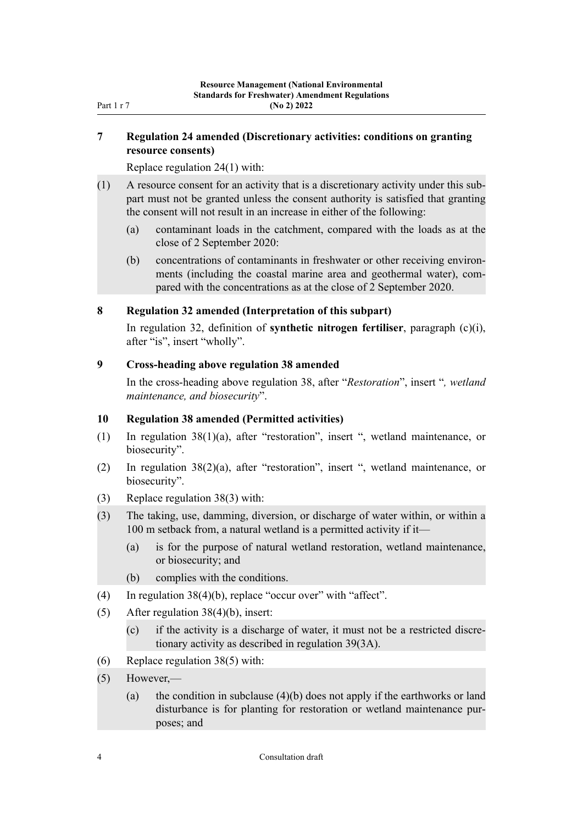# <span id="page-3-0"></span>**7 Regulation 24 amended (Discretionary activities: conditions on granting resource consents)**

Replace regulation 24(1) with:

- (1) A resource consent for an activity that is a discretionary activity under this sub‐ part must not be granted unless the consent authority is satisfied that granting the consent will not result in an increase in either of the following:
	- (a) contaminant loads in the catchment, compared with the loads as at the close of 2 September 2020:
	- (b) concentrations of contaminants in freshwater or other receiving environments (including the coastal marine area and geothermal water), compared with the concentrations as at the close of 2 September 2020.

#### **8 Regulation 32 amended (Interpretation of this subpart)**

In regulation 32, definition of **synthetic nitrogen fertiliser**, paragraph (c)(i), after "is", insert "wholly".

#### **9 Cross-heading above regulation 38 amended**

In the cross-heading above regulation 38, after "*Restoration*", insert "*, wetland maintenance, and biosecurity*".

#### **10 Regulation 38 amended (Permitted activities)**

- (1) In regulation 38(1)(a), after "restoration", insert ", wetland maintenance, or biosecurity".
- (2) In regulation 38(2)(a), after "restoration", insert ", wetland maintenance, or biosecurity".
- (3) Replace regulation 38(3) with:
- (3) The taking, use, damming, diversion, or discharge of water within, or within a 100 m setback from, a natural wetland is a permitted activity if it—
	- (a) is for the purpose of natural wetland restoration, wetland maintenance, or biosecurity; and
	- (b) complies with the conditions.
- (4) In regulation 38(4)(b), replace "occur over" with "affect".
- (5) After regulation 38(4)(b), insert:
	- (c) if the activity is a discharge of water, it must not be a restricted discre‐ tionary activity as described in regulation 39(3A).
- (6) Replace regulation 38(5) with:
- (5) However,—
	- (a) the condition in subclause (4)(b) does not apply if the earthworks or land disturbance is for planting for restoration or wetland maintenance pur‐ poses; and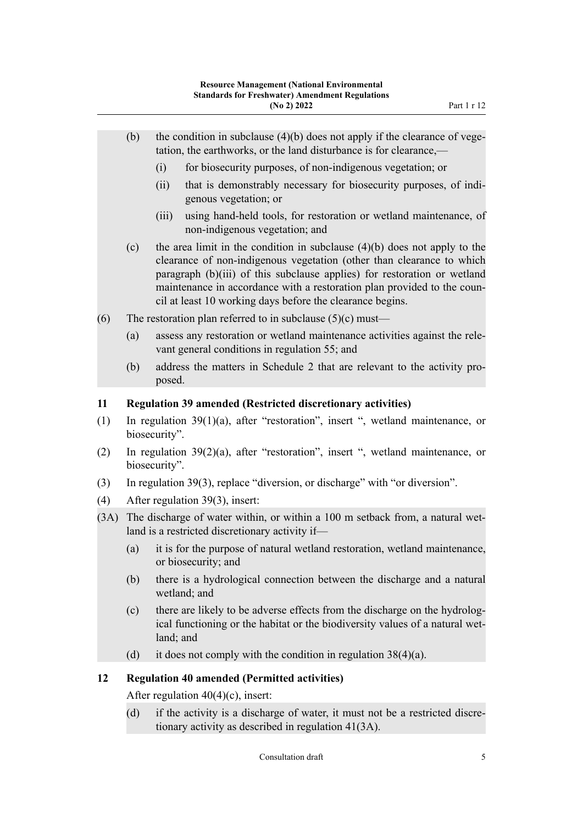- <span id="page-4-0"></span>(b) the condition in subclause  $(4)(b)$  does not apply if the clearance of vegetation, the earthworks, or the land disturbance is for clearance,—
	- (i) for biosecurity purposes, of non-indigenous vegetation; or
	- (ii) that is demonstrably necessary for biosecurity purposes, of indigenous vegetation; or
	- (iii) using hand-held tools, for restoration or wetland maintenance, of non-indigenous vegetation; and
- (c) the area limit in the condition in subclause (4)(b) does not apply to the clearance of non-indigenous vegetation (other than clearance to which paragraph (b)(iii) of this subclause applies) for restoration or wetland maintenance in accordance with a restoration plan provided to the council at least 10 working days before the clearance begins.
- (6) The restoration plan referred to in subclause  $(5)(c)$  must—
	- (a) assess any restoration or wetland maintenance activities against the rele‐ vant general conditions in regulation 55; and
	- (b) address the matters in Schedule 2 that are relevant to the activity pro‐ posed.

#### **11 Regulation 39 amended (Restricted discretionary activities)**

- (1) In regulation 39(1)(a), after "restoration", insert ", wetland maintenance, or biosecurity".
- (2) In regulation 39(2)(a), after "restoration", insert ", wetland maintenance, or biosecurity".
- (3) In regulation 39(3), replace "diversion, or discharge" with "or diversion".
- (4) After regulation 39(3), insert:
- (3A) The discharge of water within, or within a 100 m setback from, a natural wet– land is a restricted discretionary activity if—
	- (a) it is for the purpose of natural wetland restoration, wetland maintenance, or biosecurity; and
	- (b) there is a hydrological connection between the discharge and a natural wetland; and
	- (c) there are likely to be adverse effects from the discharge on the hydrolog‐ ical functioning or the habitat or the biodiversity values of a natural wetland; and
	- (d) it does not comply with the condition in regulation  $38(4)(a)$ .

#### **12 Regulation 40 amended (Permitted activities)**

After regulation 40(4)(c), insert:

(d) if the activity is a discharge of water, it must not be a restricted discre‐ tionary activity as described in regulation 41(3A).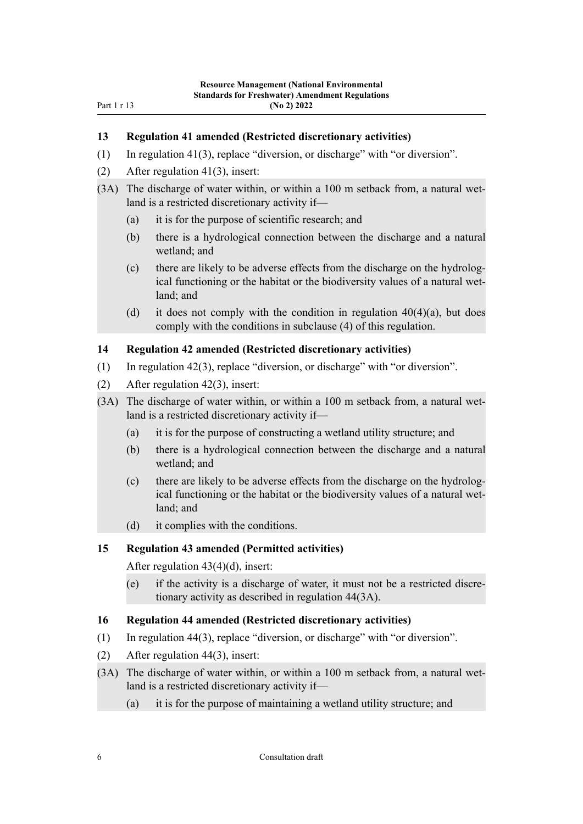## <span id="page-5-0"></span>**13 Regulation 41 amended (Restricted discretionary activities)**

- (1) In regulation 41(3), replace "diversion, or discharge" with "or diversion".
- (2) After regulation 41(3), insert:
- (3A) The discharge of water within, or within a 100 m setback from, a natural wet‐ land is a restricted discretionary activity if—
	- (a) it is for the purpose of scientific research; and
	- (b) there is a hydrological connection between the discharge and a natural wetland; and
	- (c) there are likely to be adverse effects from the discharge on the hydrolog‐ ical functioning or the habitat or the biodiversity values of a natural wetland; and
	- (d) it does not comply with the condition in regulation  $40(4)(a)$ , but does comply with the conditions in subclause (4) of this regulation.

#### **14 Regulation 42 amended (Restricted discretionary activities)**

- (1) In regulation 42(3), replace "diversion, or discharge" with "or diversion".
- (2) After regulation 42(3), insert:
- (3A) The discharge of water within, or within a 100 m setback from, a natural wetland is a restricted discretionary activity if—
	- (a) it is for the purpose of constructing a wetland utility structure; and
	- (b) there is a hydrological connection between the discharge and a natural wetland; and
	- (c) there are likely to be adverse effects from the discharge on the hydrolog‐ ical functioning or the habitat or the biodiversity values of a natural wetland; and
	- (d) it complies with the conditions.

#### **15 Regulation 43 amended (Permitted activities)**

After regulation 43(4)(d), insert:

(e) if the activity is a discharge of water, it must not be a restricted discre‐ tionary activity as described in regulation 44(3A).

#### **16 Regulation 44 amended (Restricted discretionary activities)**

- (1) In regulation 44(3), replace "diversion, or discharge" with "or diversion".
- (2) After regulation 44(3), insert:
- (3A) The discharge of water within, or within a 100 m setback from, a natural wet– land is a restricted discretionary activity if—
	- (a) it is for the purpose of maintaining a wetland utility structure; and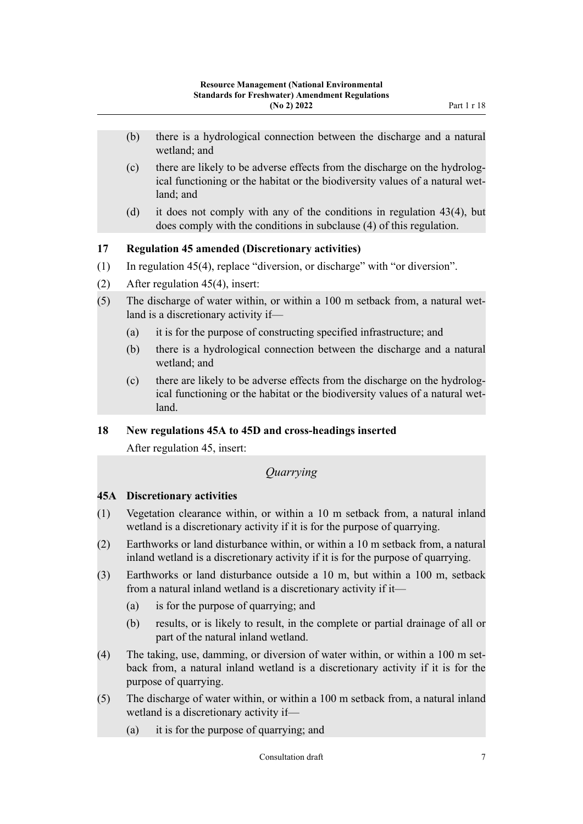- <span id="page-6-0"></span>(b) there is a hydrological connection between the discharge and a natural wetland; and
- (c) there are likely to be adverse effects from the discharge on the hydrolog‐ ical functioning or the habitat or the biodiversity values of a natural wetland; and
- (d) it does not comply with any of the conditions in regulation 43(4), but does comply with the conditions in subclause (4) of this regulation.

# **17 Regulation 45 amended (Discretionary activities)**

- (1) In regulation 45(4), replace "diversion, or discharge" with "or diversion".
- (2) After regulation 45(4), insert:
- (5) The discharge of water within, or within a  $100 \text{ m}$  setback from, a natural wetland is a discretionary activity if—
	- (a) it is for the purpose of constructing specified infrastructure; and
	- (b) there is a hydrological connection between the discharge and a natural wetland; and
	- (c) there are likely to be adverse effects from the discharge on the hydrolog‐ ical functioning or the habitat or the biodiversity values of a natural wetland.

# **18 New regulations 45A to 45D and cross-headings inserted**

After regulation 45, insert:

# *Quarrying*

# **45A Discretionary activities**

- (1) Vegetation clearance within, or within a 10 m setback from, a natural inland wetland is a discretionary activity if it is for the purpose of quarrying.
- (2) Earthworks or land disturbance within, or within a 10 m setback from, a natural inland wetland is a discretionary activity if it is for the purpose of quarrying.
- (3) Earthworks or land disturbance outside a 10 m, but within a 100 m, setback from a natural inland wetland is a discretionary activity if it—
	- (a) is for the purpose of quarrying; and
	- (b) results, or is likely to result, in the complete or partial drainage of all or part of the natural inland wetland.
- (4) The taking, use, damming, or diversion of water within, or within a 100 m setback from, a natural inland wetland is a discretionary activity if it is for the purpose of quarrying.
- (5) The discharge of water within, or within a 100 m setback from, a natural inland wetland is a discretionary activity if—
	- (a) it is for the purpose of quarrying; and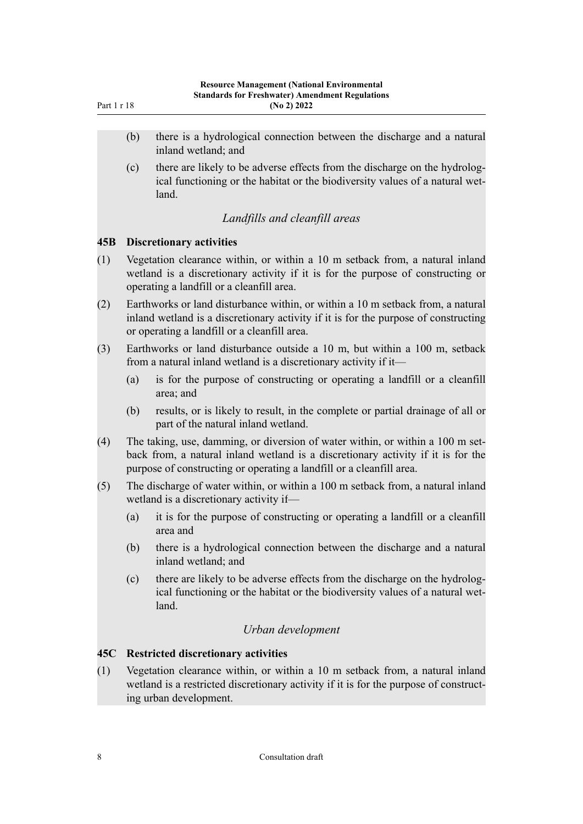- <span id="page-7-0"></span>(b) there is a hydrological connection between the discharge and a natural inland wetland; and
- (c) there are likely to be adverse effects from the discharge on the hydrolog‐ ical functioning or the habitat or the biodiversity values of a natural wetland.

## *Landfills and cleanfill areas*

#### **45B Discretionary activities**

- (1) Vegetation clearance within, or within a 10 m setback from, a natural inland wetland is a discretionary activity if it is for the purpose of constructing or operating a landfill or a cleanfill area.
- (2) Earthworks or land disturbance within, or within a 10 m setback from, a natural inland wetland is a discretionary activity if it is for the purpose of constructing or operating a landfill or a cleanfill area.
- (3) Earthworks or land disturbance outside a 10 m, but within a 100 m, setback from a natural inland wetland is a discretionary activity if it—
	- (a) is for the purpose of constructing or operating a landfill or a cleanfill area; and
	- (b) results, or is likely to result, in the complete or partial drainage of all or part of the natural inland wetland.
- (4) The taking, use, damming, or diversion of water within, or within a  $100 \text{ m}$  setback from, a natural inland wetland is a discretionary activity if it is for the purpose of constructing or operating a landfill or a cleanfill area.
- (5) The discharge of water within, or within a 100 m setback from, a natural inland wetland is a discretionary activity if—
	- (a) it is for the purpose of constructing or operating a landfill or a cleanfill area and
	- (b) there is a hydrological connection between the discharge and a natural inland wetland; and
	- (c) there are likely to be adverse effects from the discharge on the hydrolog‐ ical functioning or the habitat or the biodiversity values of a natural wetland.

# *Urban development*

# **45C Restricted discretionary activities**

(1) Vegetation clearance within, or within a 10 m setback from, a natural inland wetland is a restricted discretionary activity if it is for the purpose of constructing urban development.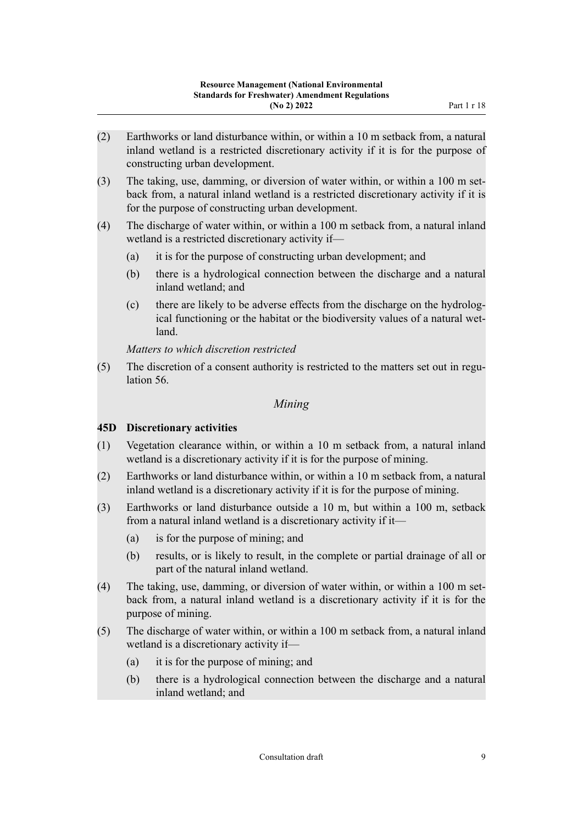- <span id="page-8-0"></span>(2) Earthworks or land disturbance within, or within a 10 m setback from, a natural inland wetland is a restricted discretionary activity if it is for the purpose of constructing urban development.
- (3) The taking, use, damming, or diversion of water within, or within a  $100 \text{ m}$  set– back from, a natural inland wetland is a restricted discretionary activity if it is for the purpose of constructing urban development.
- (4) The discharge of water within, or within a 100 m setback from, a natural inland wetland is a restricted discretionary activity if—
	- (a) it is for the purpose of constructing urban development; and
	- (b) there is a hydrological connection between the discharge and a natural inland wetland; and
	- (c) there are likely to be adverse effects from the discharge on the hydrolog‐ ical functioning or the habitat or the biodiversity values of a natural wetland.

*Matters to which discretion restricted*

(5) The discretion of a consent authority is restricted to the matters set out in regulation 56.

# *Mining*

# **45D Discretionary activities**

- (1) Vegetation clearance within, or within a 10 m setback from, a natural inland wetland is a discretionary activity if it is for the purpose of mining.
- (2) Earthworks or land disturbance within, or within a 10 m setback from, a natural inland wetland is a discretionary activity if it is for the purpose of mining.
- (3) Earthworks or land disturbance outside a 10 m, but within a 100 m, setback from a natural inland wetland is a discretionary activity if it—
	- (a) is for the purpose of mining; and
	- (b) results, or is likely to result, in the complete or partial drainage of all or part of the natural inland wetland.
- (4) The taking, use, damming, or diversion of water within, or within a  $100 \text{ m}$  setback from, a natural inland wetland is a discretionary activity if it is for the purpose of mining.
- (5) The discharge of water within, or within a 100 m setback from, a natural inland wetland is a discretionary activity if—
	- (a) it is for the purpose of mining; and
	- (b) there is a hydrological connection between the discharge and a natural inland wetland; and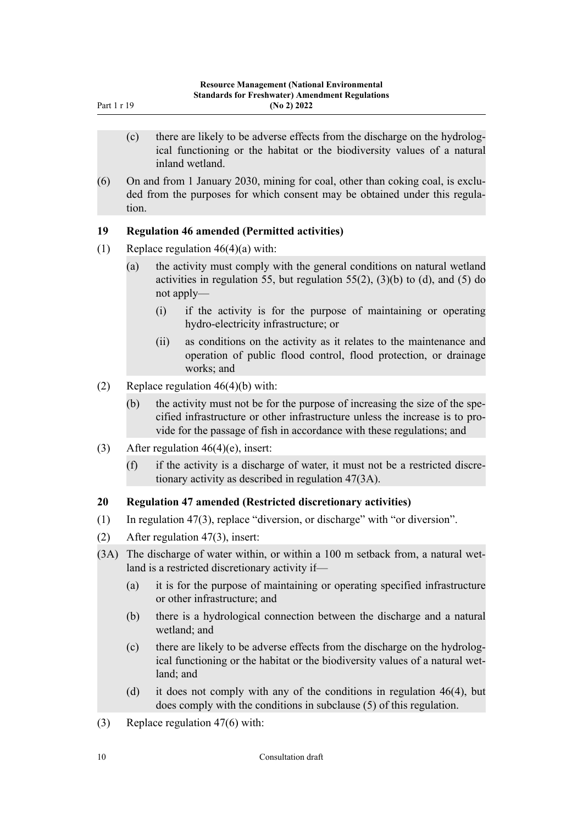- <span id="page-9-0"></span>(c) there are likely to be adverse effects from the discharge on the hydrolog‐ ical functioning or the habitat or the biodiversity values of a natural inland wetland.
- (6) On and from 1 January 2030, mining for coal, other than coking coal, is excluded from the purposes for which consent may be obtained under this regulation.

## **19 Regulation 46 amended (Permitted activities)**

- (1) Replace regulation  $46(4)(a)$  with:
	- (a) the activity must comply with the general conditions on natural wetland activities in regulation 55, but regulation  $55(2)$ ,  $(3)(b)$  to  $(d)$ , and  $(5)$  do not apply—
		- (i) if the activity is for the purpose of maintaining or operating hydro-electricity infrastructure; or
		- (ii) as conditions on the activity as it relates to the maintenance and operation of public flood control, flood protection, or drainage works; and
- (2) Replace regulation  $46(4)(b)$  with:
	- (b) the activity must not be for the purpose of increasing the size of the specified infrastructure or other infrastructure unless the increase is to pro‐ vide for the passage of fish in accordance with these regulations; and
- (3) After regulation 46(4)(e), insert:
	- $(f)$  if the activity is a discharge of water, it must not be a restricted discretionary activity as described in regulation 47(3A).

#### **20 Regulation 47 amended (Restricted discretionary activities)**

- (1) In regulation 47(3), replace "diversion, or discharge" with "or diversion".
- (2) After regulation 47(3), insert:
- (3A) The discharge of water within, or within a 100 m setback from, a natural wet‐ land is a restricted discretionary activity if—
	- (a) it is for the purpose of maintaining or operating specified infrastructure or other infrastructure; and
	- (b) there is a hydrological connection between the discharge and a natural wetland; and
	- (c) there are likely to be adverse effects from the discharge on the hydrolog‐ ical functioning or the habitat or the biodiversity values of a natural wetland; and
	- (d) it does not comply with any of the conditions in regulation 46(4), but does comply with the conditions in subclause (5) of this regulation.
- (3) Replace regulation 47(6) with: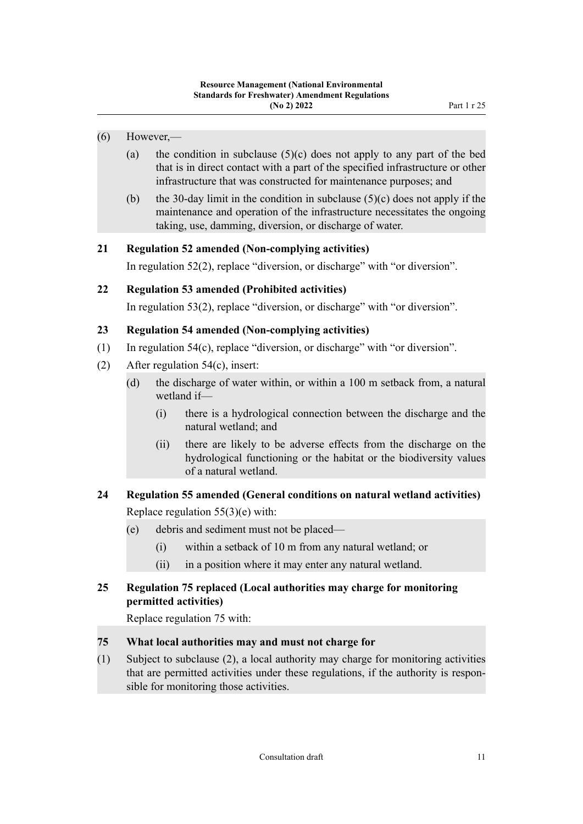- <span id="page-10-0"></span>(6) However,—
	- (a) the condition in subclause  $(5)(c)$  does not apply to any part of the bed that is in direct contact with a part of the specified infrastructure or other infrastructure that was constructed for maintenance purposes; and
	- (b) the 30-day limit in the condition in subclause  $(5)(c)$  does not apply if the maintenance and operation of the infrastructure necessitates the ongoing taking, use, damming, diversion, or discharge of water.

# **21 Regulation 52 amended (Non-complying activities)**

In regulation 52(2), replace "diversion, or discharge" with "or diversion".

# **22 Regulation 53 amended (Prohibited activities)**

In regulation 53(2), replace "diversion, or discharge" with "or diversion".

# **23 Regulation 54 amended (Non-complying activities)**

- (1) In regulation 54(c), replace "diversion, or discharge" with "or diversion".
- (2) After regulation 54(c), insert:
	- (d) the discharge of water within, or within a 100 m setback from, a natural wetland if—
		- (i) there is a hydrological connection between the discharge and the natural wetland; and
		- (ii) there are likely to be adverse effects from the discharge on the hydrological functioning or the habitat or the biodiversity values of a natural wetland.

# **24 Regulation 55 amended (General conditions on natural wetland activities)** Replace regulation 55(3)(e) with:

(e) debris and sediment must not be placed—

- (i) within a setback of 10 m from any natural wetland; or
- (ii) in a position where it may enter any natural wetland.

# **25 Regulation 75 replaced (Local authorities may charge for monitoring permitted activities)**

Replace regulation 75 with:

# **75 What local authorities may and must not charge for**

(1) Subject to subclause (2), a local authority may charge for monitoring activities that are permitted activities under these regulations, if the authority is respon‐ sible for monitoring those activities.